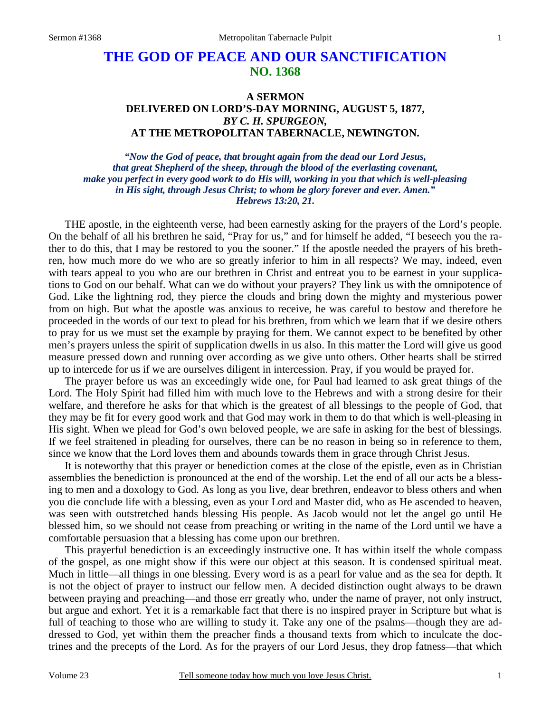## **THE GOD OF PEACE AND OUR SANCTIFICATION NO. 1368**

## **A SERMON DELIVERED ON LORD'S-DAY MORNING, AUGUST 5, 1877,**  *BY C. H. SPURGEON,*  **AT THE METROPOLITAN TABERNACLE, NEWINGTON.**

*"Now the God of peace, that brought again from the dead our Lord Jesus, that great Shepherd of the sheep, through the blood of the everlasting covenant, make you perfect in every good work to do His will, working in you that which is well-pleasing in His sight, through Jesus Christ; to whom be glory forever and ever. Amen." Hebrews 13:20, 21.* 

THE apostle, in the eighteenth verse, had been earnestly asking for the prayers of the Lord's people. On the behalf of all his brethren he said, "Pray for us," and for himself he added, "I beseech you the rather to do this, that I may be restored to you the sooner." If the apostle needed the prayers of his brethren, how much more do we who are so greatly inferior to him in all respects? We may, indeed, even with tears appeal to you who are our brethren in Christ and entreat you to be earnest in your supplications to God on our behalf. What can we do without your prayers? They link us with the omnipotence of God. Like the lightning rod, they pierce the clouds and bring down the mighty and mysterious power from on high. But what the apostle was anxious to receive, he was careful to bestow and therefore he proceeded in the words of our text to plead for his brethren, from which we learn that if we desire others to pray for us we must set the example by praying for them. We cannot expect to be benefited by other men's prayers unless the spirit of supplication dwells in us also. In this matter the Lord will give us good measure pressed down and running over according as we give unto others. Other hearts shall be stirred up to intercede for us if we are ourselves diligent in intercession. Pray, if you would be prayed for.

The prayer before us was an exceedingly wide one, for Paul had learned to ask great things of the Lord. The Holy Spirit had filled him with much love to the Hebrews and with a strong desire for their welfare, and therefore he asks for that which is the greatest of all blessings to the people of God, that they may be fit for every good work and that God may work in them to do that which is well-pleasing in His sight. When we plead for God's own beloved people, we are safe in asking for the best of blessings. If we feel straitened in pleading for ourselves, there can be no reason in being so in reference to them, since we know that the Lord loves them and abounds towards them in grace through Christ Jesus.

It is noteworthy that this prayer or benediction comes at the close of the epistle, even as in Christian assemblies the benediction is pronounced at the end of the worship. Let the end of all our acts be a blessing to men and a doxology to God. As long as you live, dear brethren, endeavor to bless others and when you die conclude life with a blessing, even as your Lord and Master did, who as He ascended to heaven, was seen with outstretched hands blessing His people. As Jacob would not let the angel go until He blessed him, so we should not cease from preaching or writing in the name of the Lord until we have a comfortable persuasion that a blessing has come upon our brethren.

This prayerful benediction is an exceedingly instructive one. It has within itself the whole compass of the gospel, as one might show if this were our object at this season. It is condensed spiritual meat. Much in little—all things in one blessing. Every word is as a pearl for value and as the sea for depth. It is not the object of prayer to instruct our fellow men. A decided distinction ought always to be drawn between praying and preaching—and those err greatly who, under the name of prayer, not only instruct, but argue and exhort. Yet it is a remarkable fact that there is no inspired prayer in Scripture but what is full of teaching to those who are willing to study it. Take any one of the psalms—though they are addressed to God, yet within them the preacher finds a thousand texts from which to inculcate the doctrines and the precepts of the Lord. As for the prayers of our Lord Jesus, they drop fatness—that which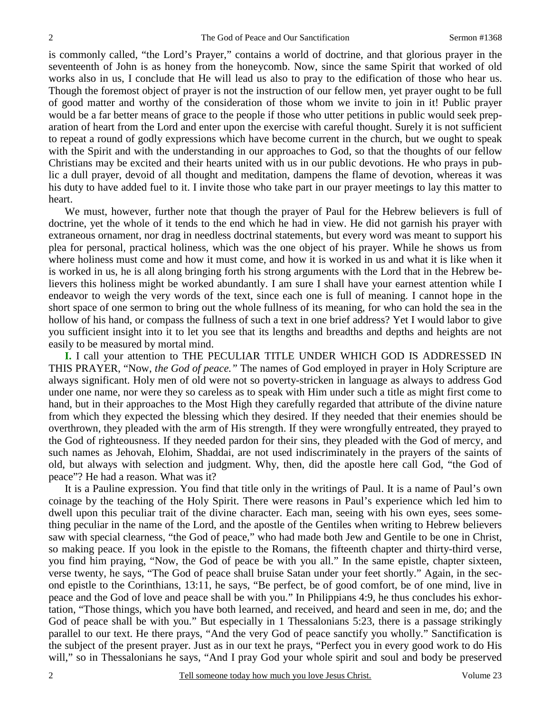is commonly called, "the Lord's Prayer," contains a world of doctrine, and that glorious prayer in the seventeenth of John is as honey from the honeycomb. Now, since the same Spirit that worked of old works also in us, I conclude that He will lead us also to pray to the edification of those who hear us. Though the foremost object of prayer is not the instruction of our fellow men, yet prayer ought to be full of good matter and worthy of the consideration of those whom we invite to join in it! Public prayer would be a far better means of grace to the people if those who utter petitions in public would seek preparation of heart from the Lord and enter upon the exercise with careful thought. Surely it is not sufficient to repeat a round of godly expressions which have become current in the church, but we ought to speak with the Spirit and with the understanding in our approaches to God, so that the thoughts of our fellow Christians may be excited and their hearts united with us in our public devotions. He who prays in public a dull prayer, devoid of all thought and meditation, dampens the flame of devotion, whereas it was his duty to have added fuel to it. I invite those who take part in our prayer meetings to lay this matter to heart.

We must, however, further note that though the prayer of Paul for the Hebrew believers is full of doctrine, yet the whole of it tends to the end which he had in view. He did not garnish his prayer with extraneous ornament, nor drag in needless doctrinal statements, but every word was meant to support his plea for personal, practical holiness, which was the one object of his prayer. While he shows us from where holiness must come and how it must come, and how it is worked in us and what it is like when it is worked in us, he is all along bringing forth his strong arguments with the Lord that in the Hebrew believers this holiness might be worked abundantly. I am sure I shall have your earnest attention while I endeavor to weigh the very words of the text, since each one is full of meaning. I cannot hope in the short space of one sermon to bring out the whole fullness of its meaning, for who can hold the sea in the hollow of his hand, or compass the fullness of such a text in one brief address? Yet I would labor to give you sufficient insight into it to let you see that its lengths and breadths and depths and heights are not easily to be measured by mortal mind.

**I.** I call your attention to THE PECULIAR TITLE UNDER WHICH GOD IS ADDRESSED IN THIS PRAYER, "Now, *the God of peace."* The names of God employed in prayer in Holy Scripture are always significant. Holy men of old were not so poverty-stricken in language as always to address God under one name, nor were they so careless as to speak with Him under such a title as might first come to hand, but in their approaches to the Most High they carefully regarded that attribute of the divine nature from which they expected the blessing which they desired. If they needed that their enemies should be overthrown, they pleaded with the arm of His strength. If they were wrongfully entreated, they prayed to the God of righteousness. If they needed pardon for their sins, they pleaded with the God of mercy, and such names as Jehovah, Elohim, Shaddai, are not used indiscriminately in the prayers of the saints of old, but always with selection and judgment. Why, then, did the apostle here call God, "the God of peace"? He had a reason. What was it?

It is a Pauline expression. You find that title only in the writings of Paul. It is a name of Paul's own coinage by the teaching of the Holy Spirit. There were reasons in Paul's experience which led him to dwell upon this peculiar trait of the divine character. Each man, seeing with his own eyes, sees something peculiar in the name of the Lord, and the apostle of the Gentiles when writing to Hebrew believers saw with special clearness, "the God of peace," who had made both Jew and Gentile to be one in Christ, so making peace. If you look in the epistle to the Romans, the fifteenth chapter and thirty-third verse, you find him praying, "Now, the God of peace be with you all." In the same epistle, chapter sixteen, verse twenty, he says, "The God of peace shall bruise Satan under your feet shortly." Again, in the second epistle to the Corinthians, 13:11, he says, "Be perfect, be of good comfort, be of one mind, live in peace and the God of love and peace shall be with you." In Philippians 4:9, he thus concludes his exhortation, "Those things, which you have both learned, and received, and heard and seen in me, do; and the God of peace shall be with you." But especially in 1 Thessalonians 5:23, there is a passage strikingly parallel to our text. He there prays, "And the very God of peace sanctify you wholly." Sanctification is the subject of the present prayer. Just as in our text he prays, "Perfect you in every good work to do His will," so in Thessalonians he says, "And I pray God your whole spirit and soul and body be preserved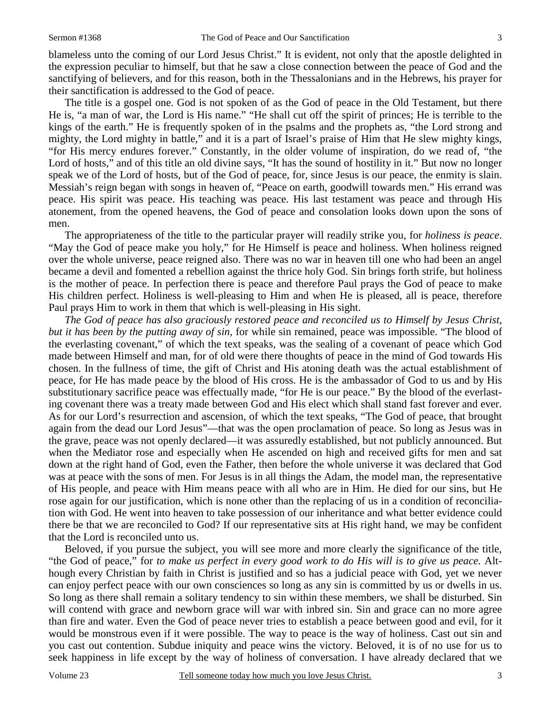blameless unto the coming of our Lord Jesus Christ." It is evident, not only that the apostle delighted in the expression peculiar to himself, but that he saw a close connection between the peace of God and the sanctifying of believers, and for this reason, both in the Thessalonians and in the Hebrews, his prayer for their sanctification is addressed to the God of peace.

The title is a gospel one. God is not spoken of as the God of peace in the Old Testament, but there He is, "a man of war, the Lord is His name." "He shall cut off the spirit of princes; He is terrible to the kings of the earth." He is frequently spoken of in the psalms and the prophets as, "the Lord strong and mighty, the Lord mighty in battle," and it is a part of Israel's praise of Him that He slew mighty kings, "for His mercy endures forever." Constantly, in the older volume of inspiration, do we read of, "the Lord of hosts," and of this title an old divine says, "It has the sound of hostility in it." But now no longer speak we of the Lord of hosts, but of the God of peace, for, since Jesus is our peace, the enmity is slain. Messiah's reign began with songs in heaven of, "Peace on earth, goodwill towards men." His errand was peace. His spirit was peace. His teaching was peace. His last testament was peace and through His atonement, from the opened heavens, the God of peace and consolation looks down upon the sons of men.

The appropriateness of the title to the particular prayer will readily strike you, for *holiness is peace*. "May the God of peace make you holy," for He Himself is peace and holiness. When holiness reigned over the whole universe, peace reigned also. There was no war in heaven till one who had been an angel became a devil and fomented a rebellion against the thrice holy God. Sin brings forth strife, but holiness is the mother of peace. In perfection there is peace and therefore Paul prays the God of peace to make His children perfect. Holiness is well-pleasing to Him and when He is pleased, all is peace, therefore Paul prays Him to work in them that which is well-pleasing in His sight.

*The God of peace has also graciously restored peace and reconciled us to Himself by Jesus Christ, but it has been by the putting away of sin,* for while sin remained, peace was impossible. "The blood of the everlasting covenant," of which the text speaks, was the sealing of a covenant of peace which God made between Himself and man, for of old were there thoughts of peace in the mind of God towards His chosen. In the fullness of time, the gift of Christ and His atoning death was the actual establishment of peace, for He has made peace by the blood of His cross. He is the ambassador of God to us and by His substitutionary sacrifice peace was effectually made, "for He is our peace." By the blood of the everlasting covenant there was a treaty made between God and His elect which shall stand fast forever and ever. As for our Lord's resurrection and ascension, of which the text speaks, "The God of peace, that brought again from the dead our Lord Jesus"—that was the open proclamation of peace. So long as Jesus was in the grave, peace was not openly declared—it was assuredly established, but not publicly announced. But when the Mediator rose and especially when He ascended on high and received gifts for men and sat down at the right hand of God, even the Father, then before the whole universe it was declared that God was at peace with the sons of men. For Jesus is in all things the Adam, the model man, the representative of His people, and peace with Him means peace with all who are in Him. He died for our sins, but He rose again for our justification, which is none other than the replacing of us in a condition of reconciliation with God. He went into heaven to take possession of our inheritance and what better evidence could there be that we are reconciled to God? If our representative sits at His right hand, we may be confident that the Lord is reconciled unto us.

Beloved, if you pursue the subject, you will see more and more clearly the significance of the title, "the God of peace," for *to make us perfect in every good work to do His will is to give us peace.* Although every Christian by faith in Christ is justified and so has a judicial peace with God, yet we never can enjoy perfect peace with our own consciences so long as any sin is committed by us or dwells in us. So long as there shall remain a solitary tendency to sin within these members, we shall be disturbed. Sin will contend with grace and newborn grace will war with inbred sin. Sin and grace can no more agree than fire and water. Even the God of peace never tries to establish a peace between good and evil, for it would be monstrous even if it were possible. The way to peace is the way of holiness. Cast out sin and you cast out contention. Subdue iniquity and peace wins the victory. Beloved, it is of no use for us to seek happiness in life except by the way of holiness of conversation. I have already declared that we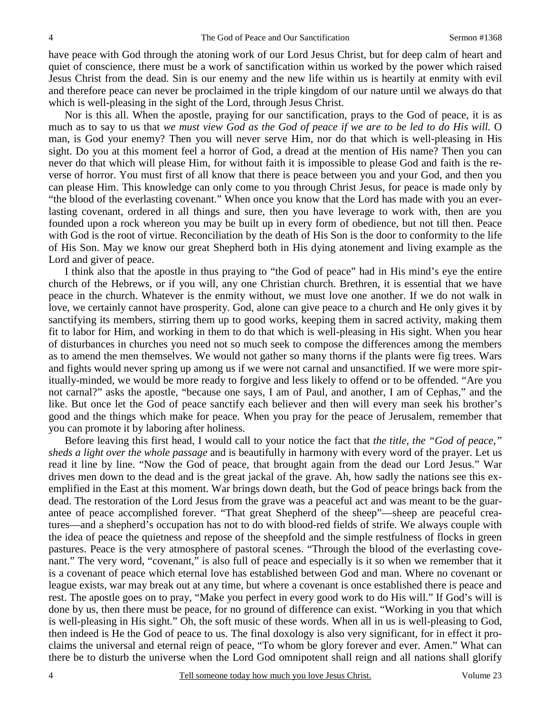have peace with God through the atoning work of our Lord Jesus Christ, but for deep calm of heart and quiet of conscience, there must be a work of sanctification within us worked by the power which raised Jesus Christ from the dead. Sin is our enemy and the new life within us is heartily at enmity with evil and therefore peace can never be proclaimed in the triple kingdom of our nature until we always do that which is well-pleasing in the sight of the Lord, through Jesus Christ.

Nor is this all. When the apostle, praying for our sanctification, prays to the God of peace, it is as much as to say to us that *we must view God as the God of peace if we are to be led to do His will.* O man, is God your enemy? Then you will never serve Him, nor do that which is well-pleasing in His sight. Do you at this moment feel a horror of God, a dread at the mention of His name? Then you can never do that which will please Him, for without faith it is impossible to please God and faith is the reverse of horror. You must first of all know that there is peace between you and your God, and then you can please Him. This knowledge can only come to you through Christ Jesus, for peace is made only by "the blood of the everlasting covenant." When once you know that the Lord has made with you an everlasting covenant, ordered in all things and sure, then you have leverage to work with, then are you founded upon a rock whereon you may be built up in every form of obedience, but not till then. Peace with God is the root of virtue. Reconciliation by the death of His Son is the door to conformity to the life of His Son. May we know our great Shepherd both in His dying atonement and living example as the Lord and giver of peace.

I think also that the apostle in thus praying to "the God of peace" had in His mind's eye the entire church of the Hebrews, or if you will, any one Christian church. Brethren, it is essential that we have peace in the church. Whatever is the enmity without, we must love one another. If we do not walk in love, we certainly cannot have prosperity. God, alone can give peace to a church and He only gives it by sanctifying its members, stirring them up to good works, keeping them in sacred activity, making them fit to labor for Him, and working in them to do that which is well-pleasing in His sight. When you hear of disturbances in churches you need not so much seek to compose the differences among the members as to amend the men themselves. We would not gather so many thorns if the plants were fig trees. Wars and fights would never spring up among us if we were not carnal and unsanctified. If we were more spiritually-minded, we would be more ready to forgive and less likely to offend or to be offended. "Are you not carnal?" asks the apostle, "because one says, I am of Paul, and another, I am of Cephas," and the like. But once let the God of peace sanctify each believer and then will every man seek his brother's good and the things which make for peace. When you pray for the peace of Jerusalem, remember that you can promote it by laboring after holiness.

Before leaving this first head, I would call to your notice the fact that *the title, the "God of peace," sheds a light over the whole passage* and is beautifully in harmony with every word of the prayer. Let us read it line by line. "Now the God of peace, that brought again from the dead our Lord Jesus." War drives men down to the dead and is the great jackal of the grave. Ah, how sadly the nations see this exemplified in the East at this moment. War brings down death, but the God of peace brings back from the dead. The restoration of the Lord Jesus from the grave was a peaceful act and was meant to be the guarantee of peace accomplished forever. "That great Shepherd of the sheep"—sheep are peaceful creatures—and a shepherd's occupation has not to do with blood-red fields of strife. We always couple with the idea of peace the quietness and repose of the sheepfold and the simple restfulness of flocks in green pastures. Peace is the very atmosphere of pastoral scenes. "Through the blood of the everlasting covenant." The very word, "covenant," is also full of peace and especially is it so when we remember that it is a covenant of peace which eternal love has established between God and man. Where no covenant or league exists, war may break out at any time, but where a covenant is once established there is peace and rest. The apostle goes on to pray, "Make you perfect in every good work to do His will." If God's will is done by us, then there must be peace, for no ground of difference can exist. "Working in you that which is well-pleasing in His sight." Oh, the soft music of these words. When all in us is well-pleasing to God, then indeed is He the God of peace to us. The final doxology is also very significant, for in effect it proclaims the universal and eternal reign of peace, "To whom be glory forever and ever. Amen." What can there be to disturb the universe when the Lord God omnipotent shall reign and all nations shall glorify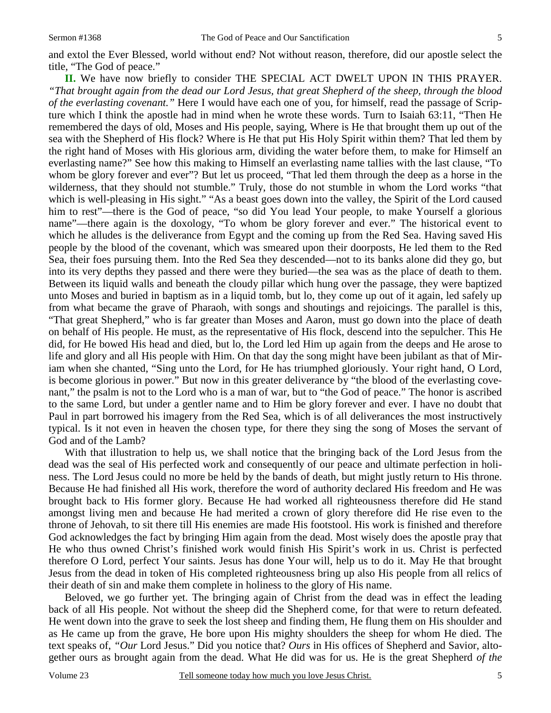and extol the Ever Blessed, world without end? Not without reason, therefore, did our apostle select the title, "The God of peace."

**II.** We have now briefly to consider THE SPECIAL ACT DWELT UPON IN THIS PRAYER. *"That brought again from the dead our Lord Jesus, that great Shepherd of the sheep, through the blood of the everlasting covenant."* Here I would have each one of you, for himself, read the passage of Scripture which I think the apostle had in mind when he wrote these words. Turn to Isaiah 63:11, "Then He remembered the days of old, Moses and His people, saying, Where is He that brought them up out of the sea with the Shepherd of His flock? Where is He that put His Holy Spirit within them? That led them by the right hand of Moses with His glorious arm, dividing the water before them, to make for Himself an everlasting name?" See how this making to Himself an everlasting name tallies with the last clause, "To whom be glory forever and ever"? But let us proceed, "That led them through the deep as a horse in the wilderness, that they should not stumble." Truly, those do not stumble in whom the Lord works "that which is well-pleasing in His sight." "As a beast goes down into the valley, the Spirit of the Lord caused him to rest"—there is the God of peace, "so did You lead Your people, to make Yourself a glorious name"—there again is the doxology, "To whom be glory forever and ever." The historical event to which he alludes is the deliverance from Egypt and the coming up from the Red Sea. Having saved His people by the blood of the covenant, which was smeared upon their doorposts, He led them to the Red Sea, their foes pursuing them. Into the Red Sea they descended—not to its banks alone did they go, but into its very depths they passed and there were they buried—the sea was as the place of death to them. Between its liquid walls and beneath the cloudy pillar which hung over the passage, they were baptized unto Moses and buried in baptism as in a liquid tomb, but lo, they come up out of it again, led safely up from what became the grave of Pharaoh, with songs and shoutings and rejoicings. The parallel is this, "That great Shepherd," who is far greater than Moses and Aaron, must go down into the place of death on behalf of His people. He must, as the representative of His flock, descend into the sepulcher. This He did, for He bowed His head and died, but lo, the Lord led Him up again from the deeps and He arose to life and glory and all His people with Him. On that day the song might have been jubilant as that of Miriam when she chanted, "Sing unto the Lord, for He has triumphed gloriously. Your right hand, O Lord, is become glorious in power." But now in this greater deliverance by "the blood of the everlasting covenant," the psalm is not to the Lord who is a man of war, but to "the God of peace." The honor is ascribed to the same Lord, but under a gentler name and to Him be glory forever and ever. I have no doubt that Paul in part borrowed his imagery from the Red Sea, which is of all deliverances the most instructively typical. Is it not even in heaven the chosen type, for there they sing the song of Moses the servant of God and of the Lamb?

With that illustration to help us, we shall notice that the bringing back of the Lord Jesus from the dead was the seal of His perfected work and consequently of our peace and ultimate perfection in holiness. The Lord Jesus could no more be held by the bands of death, but might justly return to His throne. Because He had finished all His work, therefore the word of authority declared His freedom and He was brought back to His former glory. Because He had worked all righteousness therefore did He stand amongst living men and because He had merited a crown of glory therefore did He rise even to the throne of Jehovah, to sit there till His enemies are made His footstool. His work is finished and therefore God acknowledges the fact by bringing Him again from the dead. Most wisely does the apostle pray that He who thus owned Christ's finished work would finish His Spirit's work in us. Christ is perfected therefore O Lord, perfect Your saints. Jesus has done Your will, help us to do it. May He that brought Jesus from the dead in token of His completed righteousness bring up also His people from all relics of their death of sin and make them complete in holiness to the glory of His name.

Beloved, we go further yet. The bringing again of Christ from the dead was in effect the leading back of all His people. Not without the sheep did the Shepherd come, for that were to return defeated. He went down into the grave to seek the lost sheep and finding them, He flung them on His shoulder and as He came up from the grave, He bore upon His mighty shoulders the sheep for whom He died. The text speaks of, *"Our* Lord Jesus." Did you notice that? *Ours* in His offices of Shepherd and Savior, altogether ours as brought again from the dead. What He did was for us. He is the great Shepherd *of the*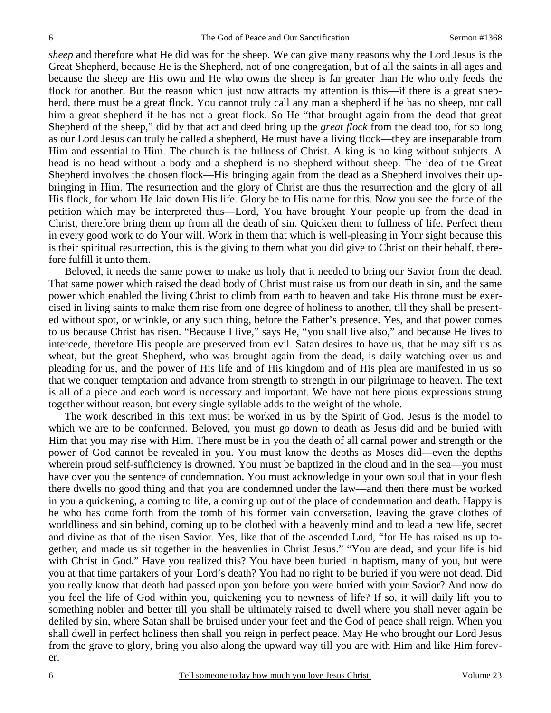*sheep* and therefore what He did was for the sheep. We can give many reasons why the Lord Jesus is the Great Shepherd, because He is the Shepherd, not of one congregation, but of all the saints in all ages and because the sheep are His own and He who owns the sheep is far greater than He who only feeds the flock for another. But the reason which just now attracts my attention is this—if there is a great shepherd, there must be a great flock. You cannot truly call any man a shepherd if he has no sheep, nor call him a great shepherd if he has not a great flock. So He "that brought again from the dead that great Shepherd of the sheep," did by that act and deed bring up the *great flock* from the dead too, for so long as our Lord Jesus can truly be called a shepherd, He must have a living flock—they are inseparable from Him and essential to Him. The church is the fullness of Christ. A king is no king without subjects. A head is no head without a body and a shepherd is no shepherd without sheep. The idea of the Great Shepherd involves the chosen flock—His bringing again from the dead as a Shepherd involves their upbringing in Him. The resurrection and the glory of Christ are thus the resurrection and the glory of all His flock, for whom He laid down His life. Glory be to His name for this. Now you see the force of the petition which may be interpreted thus—Lord, You have brought Your people up from the dead in Christ, therefore bring them up from all the death of sin. Quicken them to fullness of life. Perfect them in every good work to do Your will. Work in them that which is well-pleasing in Your sight because this is their spiritual resurrection, this is the giving to them what you did give to Christ on their behalf, therefore fulfill it unto them.

Beloved, it needs the same power to make us holy that it needed to bring our Savior from the dead. That same power which raised the dead body of Christ must raise us from our death in sin, and the same power which enabled the living Christ to climb from earth to heaven and take His throne must be exercised in living saints to make them rise from one degree of holiness to another, till they shall be presented without spot, or wrinkle, or any such thing, before the Father's presence. Yes, and that power comes to us because Christ has risen. "Because I live," says He, "you shall live also," and because He lives to intercede, therefore His people are preserved from evil. Satan desires to have us, that he may sift us as wheat, but the great Shepherd, who was brought again from the dead, is daily watching over us and pleading for us, and the power of His life and of His kingdom and of His plea are manifested in us so that we conquer temptation and advance from strength to strength in our pilgrimage to heaven. The text is all of a piece and each word is necessary and important. We have not here pious expressions strung together without reason, but every single syllable adds to the weight of the whole.

The work described in this text must be worked in us by the Spirit of God. Jesus is the model to which we are to be conformed. Beloved, you must go down to death as Jesus did and be buried with Him that you may rise with Him. There must be in you the death of all carnal power and strength or the power of God cannot be revealed in you. You must know the depths as Moses did—even the depths wherein proud self-sufficiency is drowned. You must be baptized in the cloud and in the sea—you must have over you the sentence of condemnation. You must acknowledge in your own soul that in your flesh there dwells no good thing and that you are condemned under the law—and then there must be worked in you a quickening, a coming to life, a coming up out of the place of condemnation and death. Happy is he who has come forth from the tomb of his former vain conversation, leaving the grave clothes of worldliness and sin behind, coming up to be clothed with a heavenly mind and to lead a new life, secret and divine as that of the risen Savior. Yes, like that of the ascended Lord, "for He has raised us up together, and made us sit together in the heavenlies in Christ Jesus." "You are dead, and your life is hid with Christ in God." Have you realized this? You have been buried in baptism, many of you, but were you at that time partakers of your Lord's death? You had no right to be buried if you were not dead. Did you really know that death had passed upon you before you were buried with your Savior? And now do you feel the life of God within you, quickening you to newness of life? If so, it will daily lift you to something nobler and better till you shall be ultimately raised to dwell where you shall never again be defiled by sin, where Satan shall be bruised under your feet and the God of peace shall reign. When you shall dwell in perfect holiness then shall you reign in perfect peace. May He who brought our Lord Jesus from the grave to glory, bring you also along the upward way till you are with Him and like Him forever.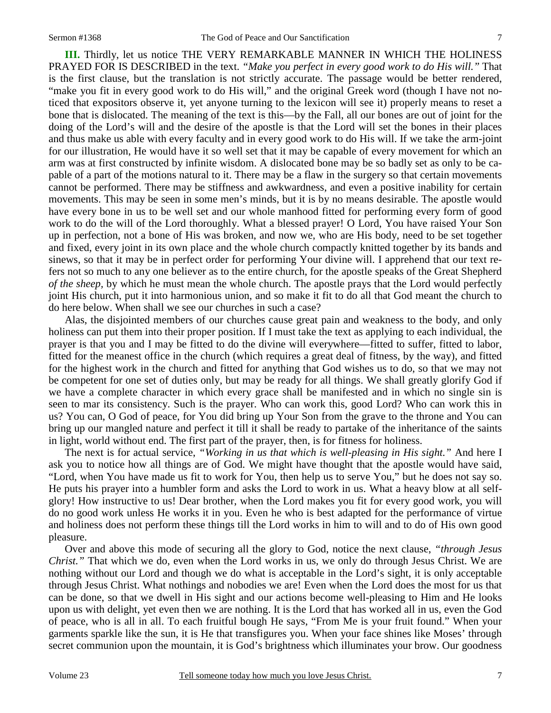**III.** Thirdly, let us notice THE VERY REMARKABLE MANNER IN WHICH THE HOLINESS PRAYED FOR IS DESCRIBED in the text. *"Make you perfect in every good work to do His will."* That is the first clause, but the translation is not strictly accurate. The passage would be better rendered, "make you fit in every good work to do His will," and the original Greek word (though I have not noticed that expositors observe it, yet anyone turning to the lexicon will see it) properly means to reset a bone that is dislocated. The meaning of the text is this—by the Fall, all our bones are out of joint for the doing of the Lord's will and the desire of the apostle is that the Lord will set the bones in their places and thus make us able with every faculty and in every good work to do His will. If we take the arm-joint for our illustration, He would have it so well set that it may be capable of every movement for which an arm was at first constructed by infinite wisdom. A dislocated bone may be so badly set as only to be capable of a part of the motions natural to it. There may be a flaw in the surgery so that certain movements cannot be performed. There may be stiffness and awkwardness, and even a positive inability for certain movements. This may be seen in some men's minds, but it is by no means desirable. The apostle would have every bone in us to be well set and our whole manhood fitted for performing every form of good work to do the will of the Lord thoroughly. What a blessed prayer! O Lord, You have raised Your Son up in perfection, not a bone of His was broken, and now we, who are His body, need to be set together and fixed, every joint in its own place and the whole church compactly knitted together by its bands and sinews, so that it may be in perfect order for performing Your divine will. I apprehend that our text refers not so much to any one believer as to the entire church, for the apostle speaks of the Great Shepherd *of the sheep,* by which he must mean the whole church. The apostle prays that the Lord would perfectly joint His church, put it into harmonious union, and so make it fit to do all that God meant the church to do here below. When shall we see our churches in such a case?

Alas, the disjointed members of our churches cause great pain and weakness to the body, and only holiness can put them into their proper position. If I must take the text as applying to each individual, the prayer is that you and I may be fitted to do the divine will everywhere—fitted to suffer, fitted to labor, fitted for the meanest office in the church (which requires a great deal of fitness, by the way), and fitted for the highest work in the church and fitted for anything that God wishes us to do, so that we may not be competent for one set of duties only, but may be ready for all things. We shall greatly glorify God if we have a complete character in which every grace shall be manifested and in which no single sin is seen to mar its consistency. Such is the prayer. Who can work this, good Lord? Who can work this in us? You can, O God of peace, for You did bring up Your Son from the grave to the throne and You can bring up our mangled nature and perfect it till it shall be ready to partake of the inheritance of the saints in light, world without end. The first part of the prayer, then, is for fitness for holiness.

The next is for actual service, *"Working in us that which is well-pleasing in His sight."* And here I ask you to notice how all things are of God. We might have thought that the apostle would have said, "Lord, when You have made us fit to work for You, then help us to serve You," but he does not say so. He puts his prayer into a humbler form and asks the Lord to work in us. What a heavy blow at all selfglory! How instructive to us! Dear brother, when the Lord makes you fit for every good work, you will do no good work unless He works it in you. Even he who is best adapted for the performance of virtue and holiness does not perform these things till the Lord works in him to will and to do of His own good pleasure.

Over and above this mode of securing all the glory to God, notice the next clause, *"through Jesus Christ."* That which we do, even when the Lord works in us, we only do through Jesus Christ. We are nothing without our Lord and though we do what is acceptable in the Lord's sight, it is only acceptable through Jesus Christ. What nothings and nobodies we are! Even when the Lord does the most for us that can be done, so that we dwell in His sight and our actions become well-pleasing to Him and He looks upon us with delight, yet even then we are nothing. It is the Lord that has worked all in us, even the God of peace, who is all in all. To each fruitful bough He says, "From Me is your fruit found." When your garments sparkle like the sun, it is He that transfigures you. When your face shines like Moses' through secret communion upon the mountain, it is God's brightness which illuminates your brow. Our goodness